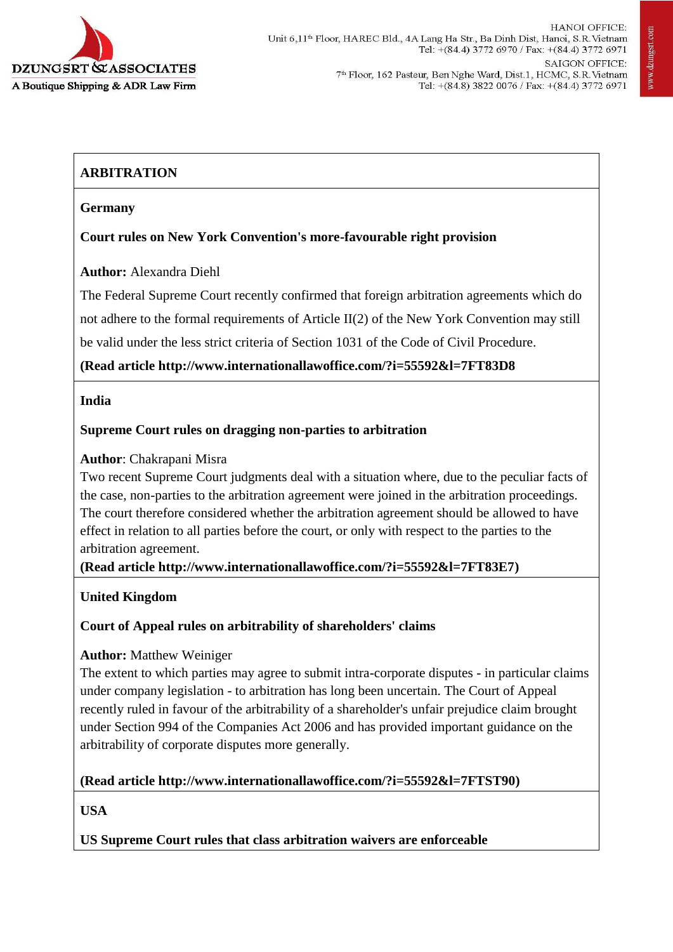

# **ARBITRATION**

#### **Germany**

# **[Court rules on New York Convention's more-favourable right](http://www.internationallawoffice.com/?i=55592&l=7FT83D8) provision**

# **Author:** [Alexandra Diehl](http://www.internationallawoffice.com/?i=55592&l=7FT83DP)

The Federal Supreme Court recently confirmed that foreign arbitration agreements which do

not adhere to the formal requirements of Article II(2) of the New York Convention may still

be valid under the less strict criteria of Section 1031 of the Code of Civil Procedure.

**[\(Read article](http://www.internationallawoffice.com/?i=55592&l=7FT83D8) <http://www.internationallawoffice.com/?i=55592&l=7FT83D8>**

**India** 

#### **[Supreme Court rules on dragging non-parties to arbitration](http://www.internationallawoffice.com/?i=55592&l=7FT83E7)**

#### **Author**: [Chakrapani Misra](http://www.internationallawoffice.com/?i=55592&l=7FT83EN)

Two recent Supreme Court judgments deal with a situation where, due to the peculiar facts of the case, non-parties to the arbitration agreement were joined in the arbitration proceedings. The court therefore considered whether the arbitration agreement should be allowed to have effect in relation to all parties before the court, or only with respect to the parties to the arbitration agreement.

**[\(Read article](http://www.internationallawoffice.com/?i=55592&l=7FT83E7) [http://www.internationallawoffice.com/?i=55592&l=7FT83E7\)](http://www.internationallawoffice.com/?i=55592&l=7FT83E7)**

# **United Kingdom**

# **[Court of Appeal rules on arbitrability of shareholders' claims](http://www.internationallawoffice.com/?i=55592&l=7FTST90)**

**Author:** [Matthew Weiniger](http://www.internationallawoffice.com/?i=55592&l=7FTST93)

The extent to which parties may agree to submit intra-corporate disputes - in particular claims under company legislation - to arbitration has long been uncertain. The Court of Appeal recently ruled in favour of the arbitrability of a shareholder's unfair prejudice claim brought under Section 994 of the Companies Act 2006 and has provided important guidance on the arbitrability of corporate disputes more generally.

# **[\(Read article](http://www.internationallawoffice.com/?i=55592&l=7FTST90) [http://www.internationallawoffice.com/?i=55592&l=7FTST90\)](http://www.internationallawoffice.com/?i=55592&l=7FTST90)**

**USA** 

#### **[US Supreme Court rules that class arbitration waivers are enforceable](http://www.internationallawoffice.com/?i=55592&l=7FUD5Q1)**